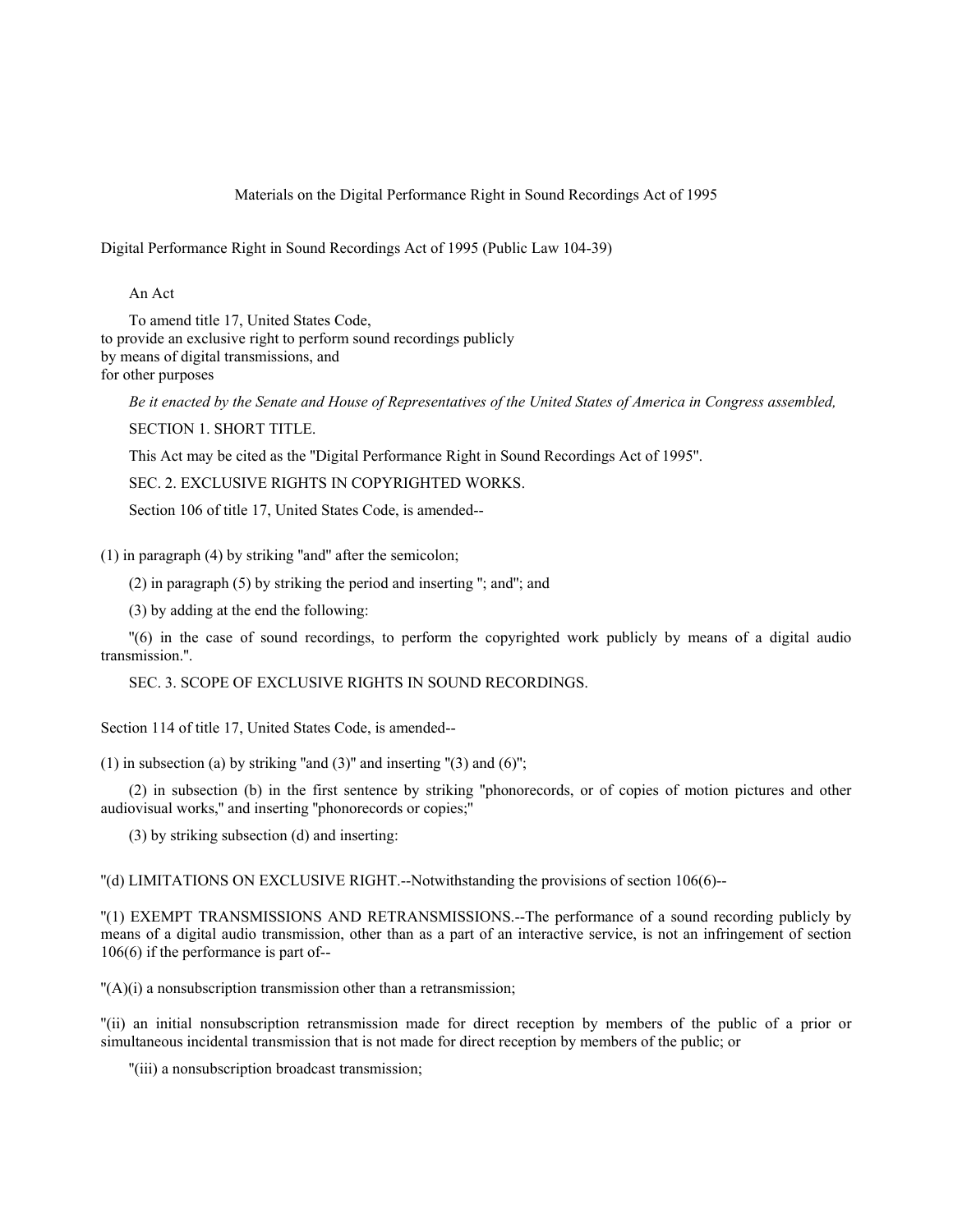# Materials on the Digital Performance Right in Sound Recordings Act of 1995

Digital Performance Right in Sound Recordings Act of 1995 (Public Law 104-39)

An Act

To amend title 17, United States Code, to provide an exclusive right to perform sound recordings publicly by means of digital transmissions, and for other purposes

*Be it enacted by the Senate and House of Representatives of the United States of America in Congress assembled,* SECTION 1. SHORT TITLE.

This Act may be cited as the ''Digital Performance Right in Sound Recordings Act of 1995''.

SEC. 2. EXCLUSIVE RIGHTS IN COPYRIGHTED WORKS.

Section 106 of title 17, United States Code, is amended--

(1) in paragraph (4) by striking ''and'' after the semicolon;

(2) in paragraph (5) by striking the period and inserting ''; and''; and

(3) by adding at the end the following:

''(6) in the case of sound recordings, to perform the copyrighted work publicly by means of a digital audio transmission.''.

SEC. 3. SCOPE OF EXCLUSIVE RIGHTS IN SOUND RECORDINGS.

Section 114 of title 17, United States Code, is amended--

(1) in subsection (a) by striking "and  $(3)$ " and inserting " $(3)$  and  $(6)$ ";

(2) in subsection (b) in the first sentence by striking ''phonorecords, or of copies of motion pictures and other audiovisual works,'' and inserting ''phonorecords or copies;''

(3) by striking subsection (d) and inserting:

''(d) LIMITATIONS ON EXCLUSIVE RIGHT.--Notwithstanding the provisions of section 106(6)--

''(1) EXEMPT TRANSMISSIONS AND RETRANSMISSIONS.--The performance of a sound recording publicly by means of a digital audio transmission, other than as a part of an interactive service, is not an infringement of section 106(6) if the performance is part of--

''(A)(i) a nonsubscription transmission other than a retransmission;

''(ii) an initial nonsubscription retransmission made for direct reception by members of the public of a prior or simultaneous incidental transmission that is not made for direct reception by members of the public; or

''(iii) a nonsubscription broadcast transmission;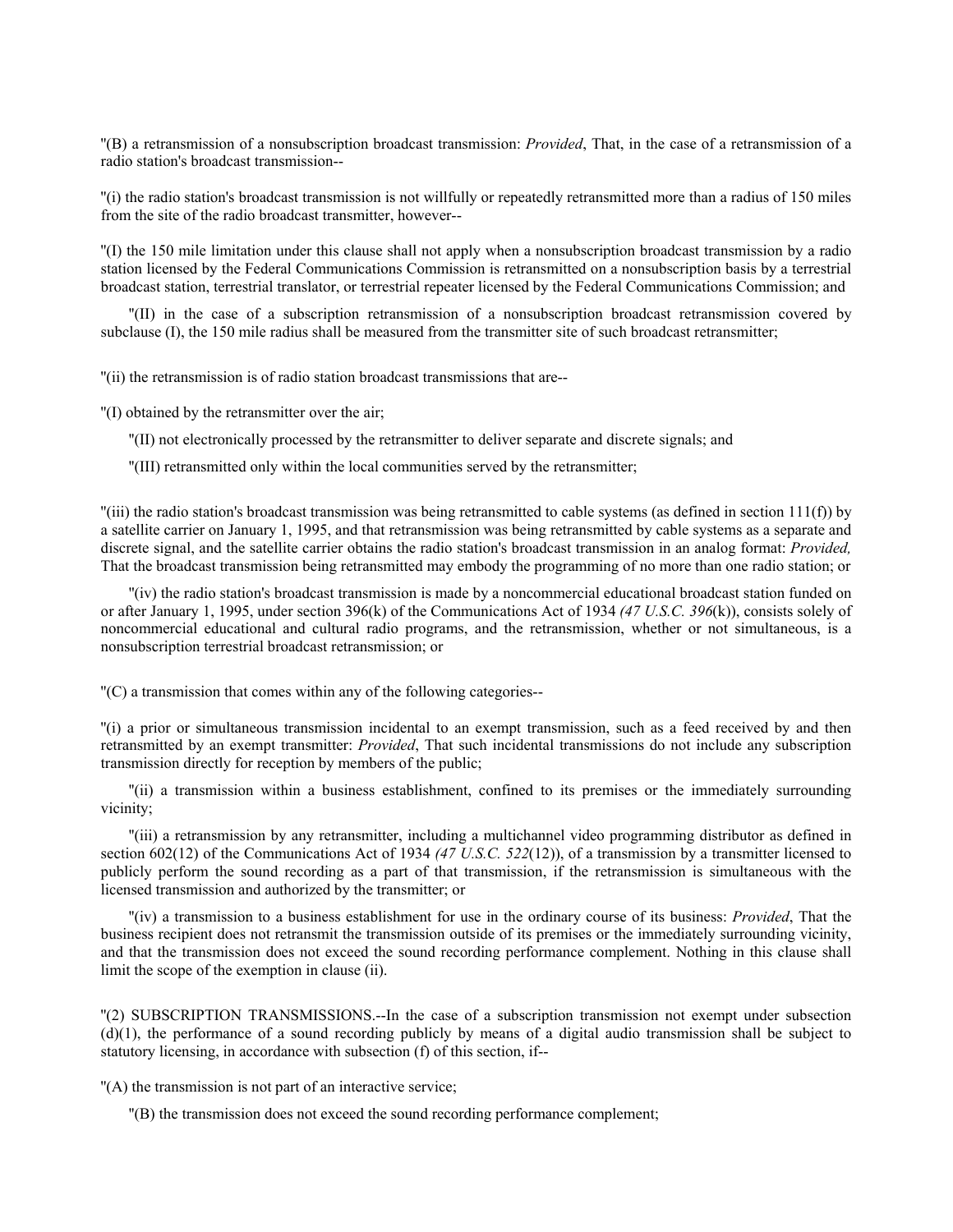''(B) a retransmission of a nonsubscription broadcast transmission: *Provided*, That, in the case of a retransmission of a radio station's broadcast transmission--

''(i) the radio station's broadcast transmission is not willfully or repeatedly retransmitted more than a radius of 150 miles from the site of the radio broadcast transmitter, however--

''(I) the 150 mile limitation under this clause shall not apply when a nonsubscription broadcast transmission by a radio station licensed by the Federal Communications Commission is retransmitted on a nonsubscription basis by a terrestrial broadcast station, terrestrial translator, or terrestrial repeater licensed by the Federal Communications Commission; and

''(II) in the case of a subscription retransmission of a nonsubscription broadcast retransmission covered by subclause (I), the 150 mile radius shall be measured from the transmitter site of such broadcast retransmitter;

''(ii) the retransmission is of radio station broadcast transmissions that are--

''(I) obtained by the retransmitter over the air;

''(II) not electronically processed by the retransmitter to deliver separate and discrete signals; and

''(III) retransmitted only within the local communities served by the retransmitter;

 $\text{``(iii)}$  the radio station's broadcast transmission was being retransmitted to cable systems (as defined in section 111(f)) by a satellite carrier on January 1, 1995, and that retransmission was being retransmitted by cable systems as a separate and discrete signal, and the satellite carrier obtains the radio station's broadcast transmission in an analog format: *Provided,* That the broadcast transmission being retransmitted may embody the programming of no more than one radio station; or

''(iv) the radio station's broadcast transmission is made by a noncommercial educational broadcast station funded on or after January 1, 1995, under section 396(k) of the Communications Act of 1934 *(47 U.S.C. 396*(k)), consists solely of noncommercial educational and cultural radio programs, and the retransmission, whether or not simultaneous, is a nonsubscription terrestrial broadcast retransmission; or

''(C) a transmission that comes within any of the following categories--

''(i) a prior or simultaneous transmission incidental to an exempt transmission, such as a feed received by and then retransmitted by an exempt transmitter: *Provided*, That such incidental transmissions do not include any subscription transmission directly for reception by members of the public;

''(ii) a transmission within a business establishment, confined to its premises or the immediately surrounding vicinity;

''(iii) a retransmission by any retransmitter, including a multichannel video programming distributor as defined in section 602(12) of the Communications Act of 1934 *(47 U.S.C. 522*(12)), of a transmission by a transmitter licensed to publicly perform the sound recording as a part of that transmission, if the retransmission is simultaneous with the licensed transmission and authorized by the transmitter; or

''(iv) a transmission to a business establishment for use in the ordinary course of its business: *Provided*, That the business recipient does not retransmit the transmission outside of its premises or the immediately surrounding vicinity, and that the transmission does not exceed the sound recording performance complement. Nothing in this clause shall limit the scope of the exemption in clause (ii).

''(2) SUBSCRIPTION TRANSMISSIONS.--In the case of a subscription transmission not exempt under subsection  $(d)(1)$ , the performance of a sound recording publicly by means of a digital audio transmission shall be subject to statutory licensing, in accordance with subsection (f) of this section, if--

''(A) the transmission is not part of an interactive service;

''(B) the transmission does not exceed the sound recording performance complement;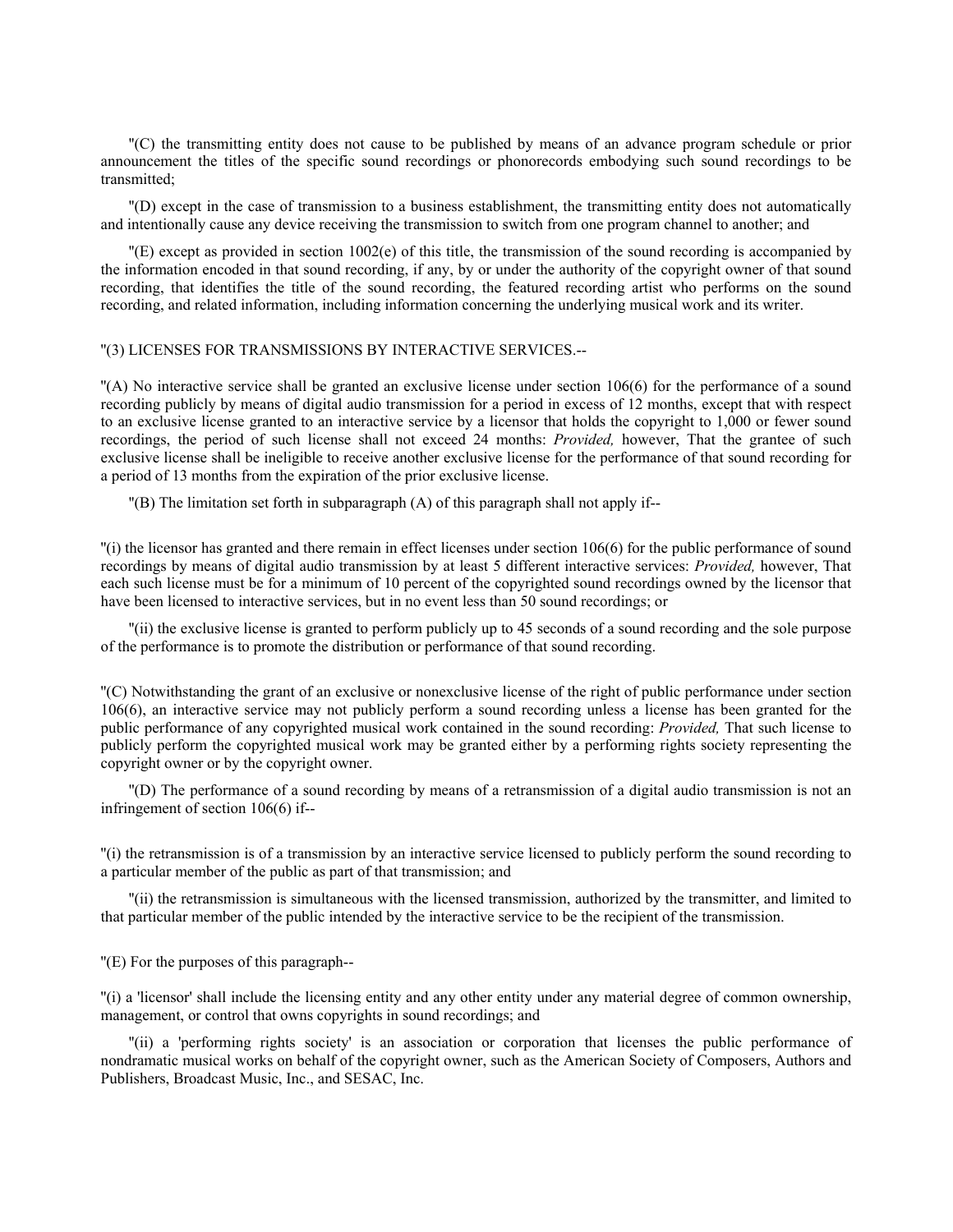''(C) the transmitting entity does not cause to be published by means of an advance program schedule or prior announcement the titles of the specific sound recordings or phonorecords embodying such sound recordings to be transmitted;

''(D) except in the case of transmission to a business establishment, the transmitting entity does not automatically and intentionally cause any device receiving the transmission to switch from one program channel to another; and

''(E) except as provided in section 1002(e) of this title, the transmission of the sound recording is accompanied by the information encoded in that sound recording, if any, by or under the authority of the copyright owner of that sound recording, that identifies the title of the sound recording, the featured recording artist who performs on the sound recording, and related information, including information concerning the underlying musical work and its writer.

# ''(3) LICENSES FOR TRANSMISSIONS BY INTERACTIVE SERVICES.--

''(A) No interactive service shall be granted an exclusive license under section 106(6) for the performance of a sound recording publicly by means of digital audio transmission for a period in excess of 12 months, except that with respect to an exclusive license granted to an interactive service by a licensor that holds the copyright to 1,000 or fewer sound recordings, the period of such license shall not exceed 24 months: *Provided,* however, That the grantee of such exclusive license shall be ineligible to receive another exclusive license for the performance of that sound recording for a period of 13 months from the expiration of the prior exclusive license.

''(B) The limitation set forth in subparagraph (A) of this paragraph shall not apply if--

''(i) the licensor has granted and there remain in effect licenses under section 106(6) for the public performance of sound recordings by means of digital audio transmission by at least 5 different interactive services: *Provided,* however, That each such license must be for a minimum of 10 percent of the copyrighted sound recordings owned by the licensor that have been licensed to interactive services, but in no event less than 50 sound recordings; or

''(ii) the exclusive license is granted to perform publicly up to 45 seconds of a sound recording and the sole purpose of the performance is to promote the distribution or performance of that sound recording.

''(C) Notwithstanding the grant of an exclusive or nonexclusive license of the right of public performance under section 106(6), an interactive service may not publicly perform a sound recording unless a license has been granted for the public performance of any copyrighted musical work contained in the sound recording: *Provided,* That such license to publicly perform the copyrighted musical work may be granted either by a performing rights society representing the copyright owner or by the copyright owner.

''(D) The performance of a sound recording by means of a retransmission of a digital audio transmission is not an infringement of section 106(6) if--

''(i) the retransmission is of a transmission by an interactive service licensed to publicly perform the sound recording to a particular member of the public as part of that transmission; and

''(ii) the retransmission is simultaneous with the licensed transmission, authorized by the transmitter, and limited to that particular member of the public intended by the interactive service to be the recipient of the transmission.

''(E) For the purposes of this paragraph--

''(i) a 'licensor' shall include the licensing entity and any other entity under any material degree of common ownership, management, or control that owns copyrights in sound recordings; and

''(ii) a 'performing rights society' is an association or corporation that licenses the public performance of nondramatic musical works on behalf of the copyright owner, such as the American Society of Composers, Authors and Publishers, Broadcast Music, Inc., and SESAC, Inc.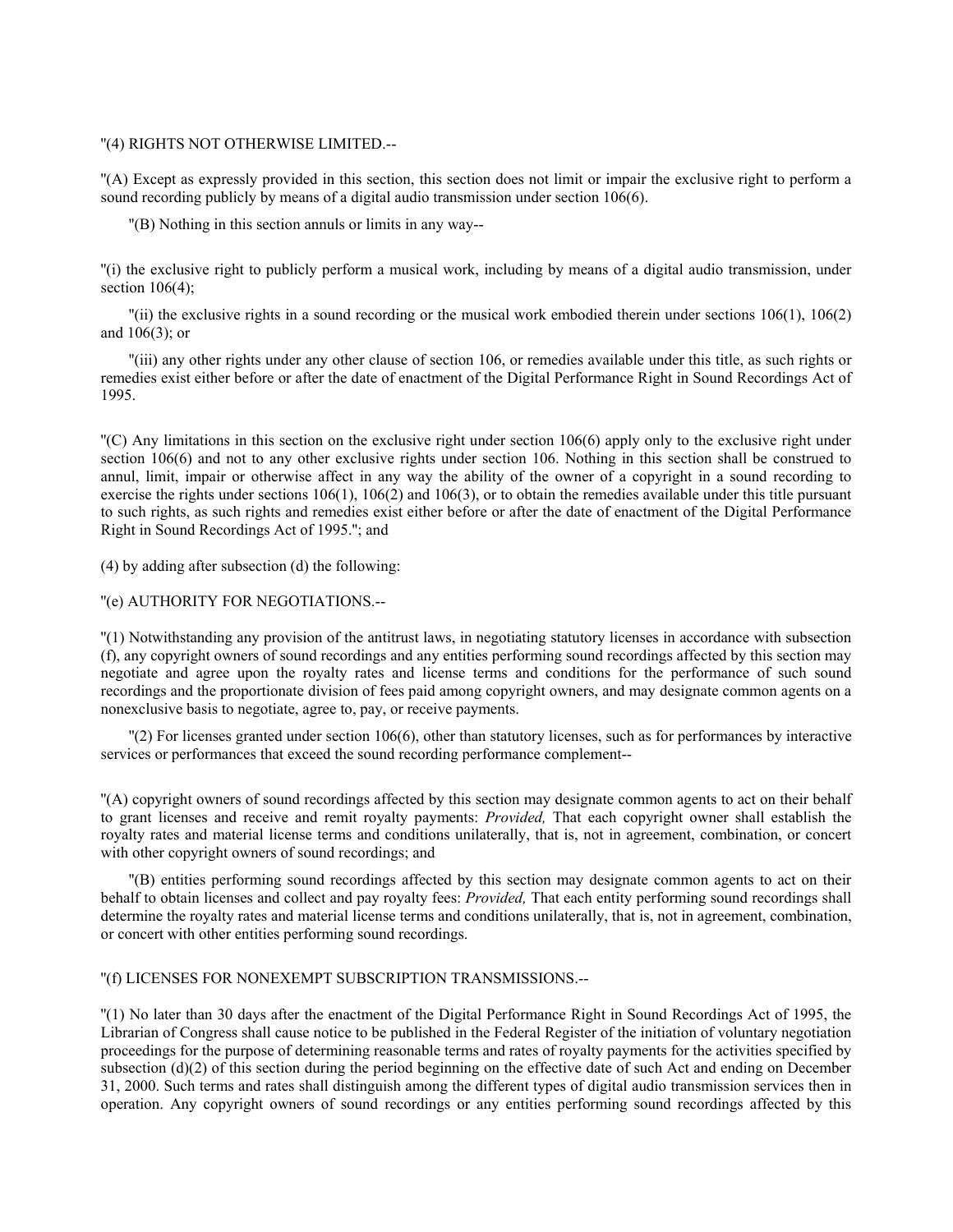### ''(4) RIGHTS NOT OTHERWISE LIMITED.--

''(A) Except as expressly provided in this section, this section does not limit or impair the exclusive right to perform a sound recording publicly by means of a digital audio transmission under section 106(6).

''(B) Nothing in this section annuls or limits in any way--

''(i) the exclusive right to publicly perform a musical work, including by means of a digital audio transmission, under section 106(4):

''(ii) the exclusive rights in a sound recording or the musical work embodied therein under sections 106(1), 106(2) and 106(3); or

''(iii) any other rights under any other clause of section 106, or remedies available under this title, as such rights or remedies exist either before or after the date of enactment of the Digital Performance Right in Sound Recordings Act of 1995.

''(C) Any limitations in this section on the exclusive right under section 106(6) apply only to the exclusive right under section 106(6) and not to any other exclusive rights under section 106. Nothing in this section shall be construed to annul, limit, impair or otherwise affect in any way the ability of the owner of a copyright in a sound recording to exercise the rights under sections  $106(1)$ ,  $106(2)$  and  $106(3)$ , or to obtain the remedies available under this title pursuant to such rights, as such rights and remedies exist either before or after the date of enactment of the Digital Performance Right in Sound Recordings Act of 1995.''; and

(4) by adding after subsection (d) the following:

''(e) AUTHORITY FOR NEGOTIATIONS.--

''(1) Notwithstanding any provision of the antitrust laws, in negotiating statutory licenses in accordance with subsection (f), any copyright owners of sound recordings and any entities performing sound recordings affected by this section may negotiate and agree upon the royalty rates and license terms and conditions for the performance of such sound recordings and the proportionate division of fees paid among copyright owners, and may designate common agents on a nonexclusive basis to negotiate, agree to, pay, or receive payments.

''(2) For licenses granted under section 106(6), other than statutory licenses, such as for performances by interactive services or performances that exceed the sound recording performance complement--

''(A) copyright owners of sound recordings affected by this section may designate common agents to act on their behalf to grant licenses and receive and remit royalty payments: *Provided,* That each copyright owner shall establish the royalty rates and material license terms and conditions unilaterally, that is, not in agreement, combination, or concert with other copyright owners of sound recordings; and

''(B) entities performing sound recordings affected by this section may designate common agents to act on their behalf to obtain licenses and collect and pay royalty fees: *Provided,* That each entity performing sound recordings shall determine the royalty rates and material license terms and conditions unilaterally, that is, not in agreement, combination, or concert with other entities performing sound recordings.

''(f) LICENSES FOR NONEXEMPT SUBSCRIPTION TRANSMISSIONS.--

''(1) No later than 30 days after the enactment of the Digital Performance Right in Sound Recordings Act of 1995, the Librarian of Congress shall cause notice to be published in the Federal Register of the initiation of voluntary negotiation proceedings for the purpose of determining reasonable terms and rates of royalty payments for the activities specified by subsection  $(d)(2)$  of this section during the period beginning on the effective date of such Act and ending on December 31, 2000. Such terms and rates shall distinguish among the different types of digital audio transmission services then in operation. Any copyright owners of sound recordings or any entities performing sound recordings affected by this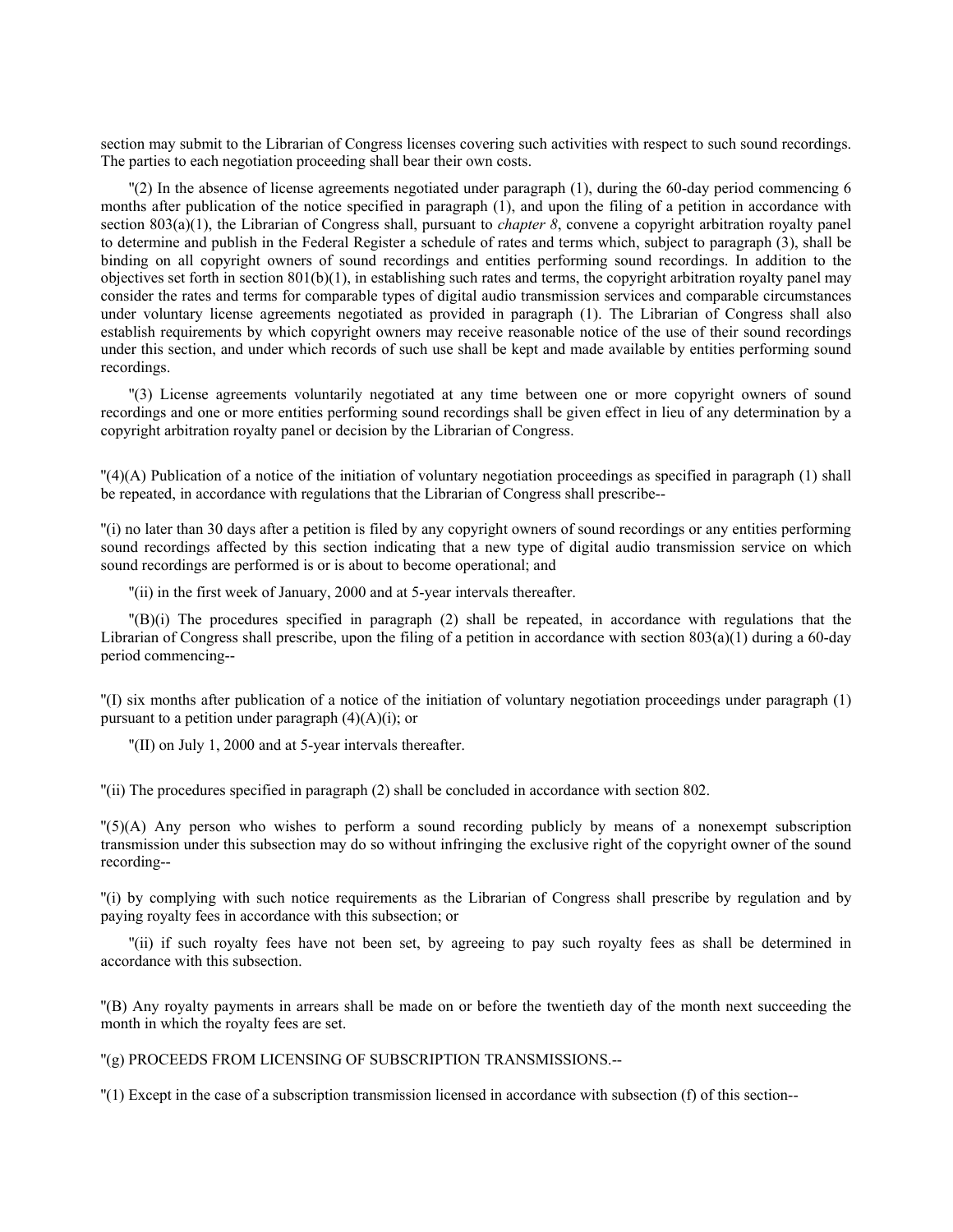section may submit to the Librarian of Congress licenses covering such activities with respect to such sound recordings. The parties to each negotiation proceeding shall bear their own costs.

''(2) In the absence of license agreements negotiated under paragraph (1), during the 60-day period commencing 6 months after publication of the notice specified in paragraph (1), and upon the filing of a petition in accordance with section 803(a)(1), the Librarian of Congress shall, pursuant to *chapter 8*, convene a copyright arbitration royalty panel to determine and publish in the Federal Register a schedule of rates and terms which, subject to paragraph (3), shall be binding on all copyright owners of sound recordings and entities performing sound recordings. In addition to the objectives set forth in section  $801(b)(1)$ , in establishing such rates and terms, the copyright arbitration royalty panel may consider the rates and terms for comparable types of digital audio transmission services and comparable circumstances under voluntary license agreements negotiated as provided in paragraph (1). The Librarian of Congress shall also establish requirements by which copyright owners may receive reasonable notice of the use of their sound recordings under this section, and under which records of such use shall be kept and made available by entities performing sound recordings.

''(3) License agreements voluntarily negotiated at any time between one or more copyright owners of sound recordings and one or more entities performing sound recordings shall be given effect in lieu of any determination by a copyright arbitration royalty panel or decision by the Librarian of Congress.

''(4)(A) Publication of a notice of the initiation of voluntary negotiation proceedings as specified in paragraph (1) shall be repeated, in accordance with regulations that the Librarian of Congress shall prescribe--

''(i) no later than 30 days after a petition is filed by any copyright owners of sound recordings or any entities performing sound recordings affected by this section indicating that a new type of digital audio transmission service on which sound recordings are performed is or is about to become operational; and

''(ii) in the first week of January, 2000 and at 5-year intervals thereafter.

''(B)(i) The procedures specified in paragraph (2) shall be repeated, in accordance with regulations that the Librarian of Congress shall prescribe, upon the filing of a petition in accordance with section  $803(a)(1)$  during a 60-day period commencing--

''(I) six months after publication of a notice of the initiation of voluntary negotiation proceedings under paragraph (1) pursuant to a petition under paragraph  $(4)(A)(i)$ ; or

''(II) on July 1, 2000 and at 5-year intervals thereafter.

''(ii) The procedures specified in paragraph (2) shall be concluded in accordance with section 802.

''(5)(A) Any person who wishes to perform a sound recording publicly by means of a nonexempt subscription transmission under this subsection may do so without infringing the exclusive right of the copyright owner of the sound recording--

''(i) by complying with such notice requirements as the Librarian of Congress shall prescribe by regulation and by paying royalty fees in accordance with this subsection; or

''(ii) if such royalty fees have not been set, by agreeing to pay such royalty fees as shall be determined in accordance with this subsection.

''(B) Any royalty payments in arrears shall be made on or before the twentieth day of the month next succeeding the month in which the royalty fees are set.

''(g) PROCEEDS FROM LICENSING OF SUBSCRIPTION TRANSMISSIONS.--

''(1) Except in the case of a subscription transmission licensed in accordance with subsection (f) of this section--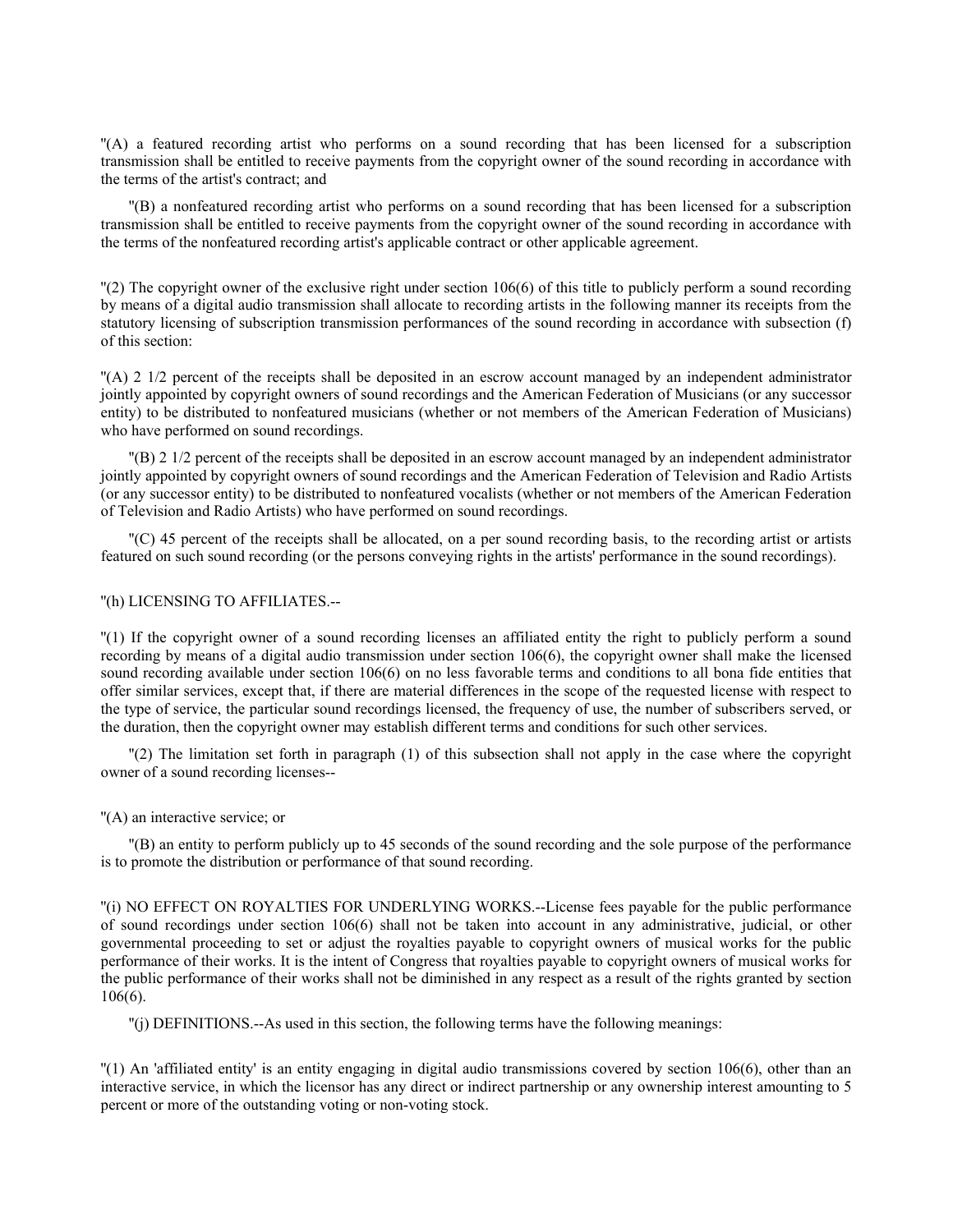''(A) a featured recording artist who performs on a sound recording that has been licensed for a subscription transmission shall be entitled to receive payments from the copyright owner of the sound recording in accordance with the terms of the artist's contract; and

''(B) a nonfeatured recording artist who performs on a sound recording that has been licensed for a subscription transmission shall be entitled to receive payments from the copyright owner of the sound recording in accordance with the terms of the nonfeatured recording artist's applicable contract or other applicable agreement.

 $\Gamma$ (2) The copyright owner of the exclusive right under section 106(6) of this title to publicly perform a sound recording by means of a digital audio transmission shall allocate to recording artists in the following manner its receipts from the statutory licensing of subscription transmission performances of the sound recording in accordance with subsection (f) of this section:

''(A) 2 1/2 percent of the receipts shall be deposited in an escrow account managed by an independent administrator jointly appointed by copyright owners of sound recordings and the American Federation of Musicians (or any successor entity) to be distributed to nonfeatured musicians (whether or not members of the American Federation of Musicians) who have performed on sound recordings.

''(B) 2 1/2 percent of the receipts shall be deposited in an escrow account managed by an independent administrator jointly appointed by copyright owners of sound recordings and the American Federation of Television and Radio Artists (or any successor entity) to be distributed to nonfeatured vocalists (whether or not members of the American Federation of Television and Radio Artists) who have performed on sound recordings.

''(C) 45 percent of the receipts shall be allocated, on a per sound recording basis, to the recording artist or artists featured on such sound recording (or the persons conveying rights in the artists' performance in the sound recordings).

# ''(h) LICENSING TO AFFILIATES.--

''(1) If the copyright owner of a sound recording licenses an affiliated entity the right to publicly perform a sound recording by means of a digital audio transmission under section 106(6), the copyright owner shall make the licensed sound recording available under section 106(6) on no less favorable terms and conditions to all bona fide entities that offer similar services, except that, if there are material differences in the scope of the requested license with respect to the type of service, the particular sound recordings licensed, the frequency of use, the number of subscribers served, or the duration, then the copyright owner may establish different terms and conditions for such other services.

''(2) The limitation set forth in paragraph (1) of this subsection shall not apply in the case where the copyright owner of a sound recording licenses--

### ''(A) an interactive service; or

''(B) an entity to perform publicly up to 45 seconds of the sound recording and the sole purpose of the performance is to promote the distribution or performance of that sound recording.

''(i) NO EFFECT ON ROYALTIES FOR UNDERLYING WORKS.--License fees payable for the public performance of sound recordings under section 106(6) shall not be taken into account in any administrative, judicial, or other governmental proceeding to set or adjust the royalties payable to copyright owners of musical works for the public performance of their works. It is the intent of Congress that royalties payable to copyright owners of musical works for the public performance of their works shall not be diminished in any respect as a result of the rights granted by section 106(6).

''(j) DEFINITIONS.--As used in this section, the following terms have the following meanings:

''(1) An 'affiliated entity' is an entity engaging in digital audio transmissions covered by section 106(6), other than an interactive service, in which the licensor has any direct or indirect partnership or any ownership interest amounting to 5 percent or more of the outstanding voting or non-voting stock.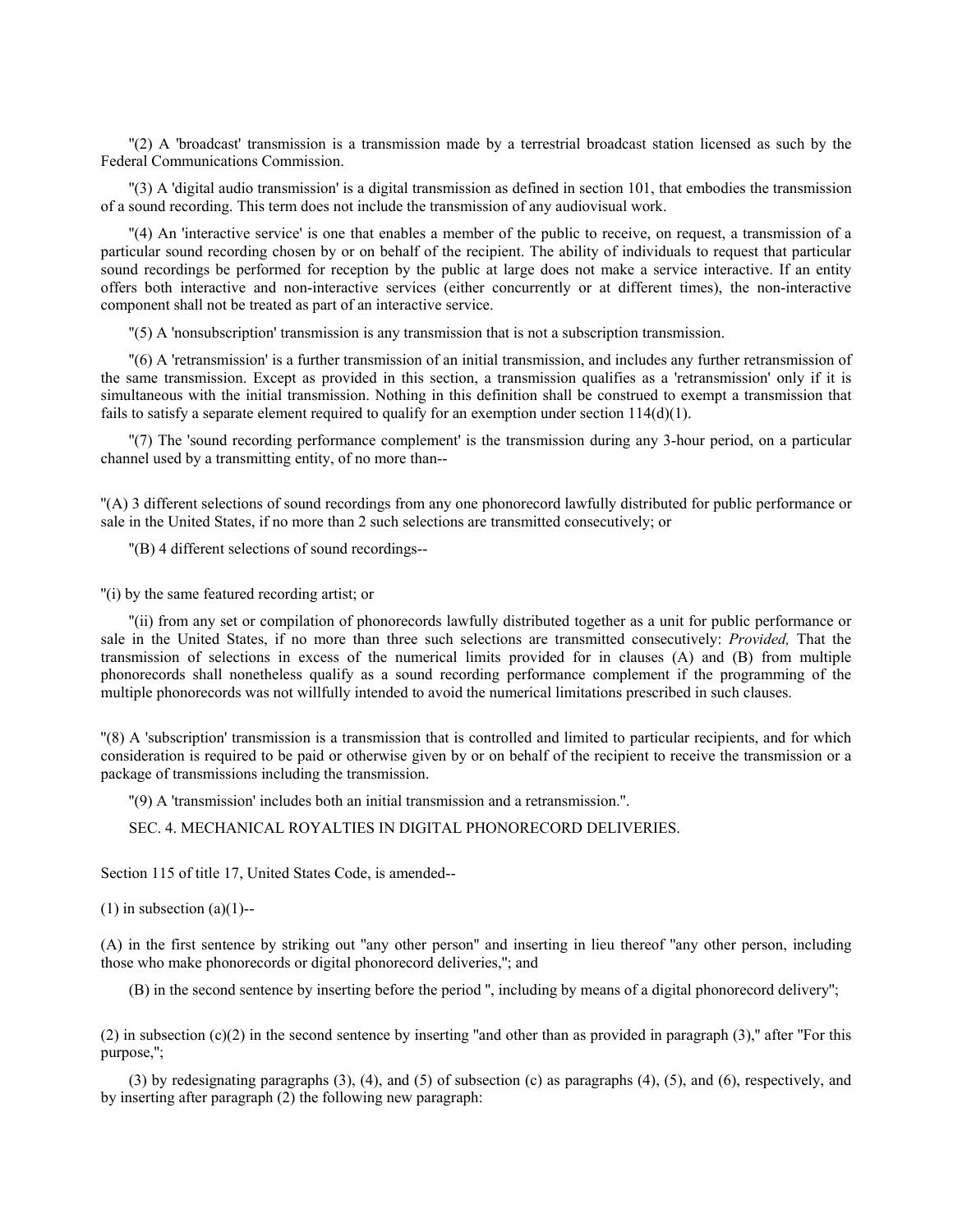''(2) A 'broadcast' transmission is a transmission made by a terrestrial broadcast station licensed as such by the Federal Communications Commission.

''(3) A 'digital audio transmission' is a digital transmission as defined in section 101, that embodies the transmission of a sound recording. This term does not include the transmission of any audiovisual work.

''(4) An 'interactive service' is one that enables a member of the public to receive, on request, a transmission of a particular sound recording chosen by or on behalf of the recipient. The ability of individuals to request that particular sound recordings be performed for reception by the public at large does not make a service interactive. If an entity offers both interactive and non-interactive services (either concurrently or at different times), the non-interactive component shall not be treated as part of an interactive service.

''(5) A 'nonsubscription' transmission is any transmission that is not a subscription transmission.

''(6) A 'retransmission' is a further transmission of an initial transmission, and includes any further retransmission of the same transmission. Except as provided in this section, a transmission qualifies as a 'retransmission' only if it is simultaneous with the initial transmission. Nothing in this definition shall be construed to exempt a transmission that fails to satisfy a separate element required to qualify for an exemption under section  $114(d)(1)$ .

''(7) The 'sound recording performance complement' is the transmission during any 3-hour period, on a particular channel used by a transmitting entity, of no more than--

''(A) 3 different selections of sound recordings from any one phonorecord lawfully distributed for public performance or sale in the United States, if no more than 2 such selections are transmitted consecutively; or

''(B) 4 different selections of sound recordings--

''(i) by the same featured recording artist; or

''(ii) from any set or compilation of phonorecords lawfully distributed together as a unit for public performance or sale in the United States, if no more than three such selections are transmitted consecutively: *Provided,* That the transmission of selections in excess of the numerical limits provided for in clauses (A) and (B) from multiple phonorecords shall nonetheless qualify as a sound recording performance complement if the programming of the multiple phonorecords was not willfully intended to avoid the numerical limitations prescribed in such clauses.

''(8) A 'subscription' transmission is a transmission that is controlled and limited to particular recipients, and for which consideration is required to be paid or otherwise given by or on behalf of the recipient to receive the transmission or a package of transmissions including the transmission.

''(9) A 'transmission' includes both an initial transmission and a retransmission.''.

SEC. 4. MECHANICAL ROYALTIES IN DIGITAL PHONORECORD DELIVERIES.

Section 115 of title 17, United States Code, is amended--

 $(1)$  in subsection  $(a)(1)$ --

(A) in the first sentence by striking out ''any other person'' and inserting in lieu thereof ''any other person, including those who make phonorecords or digital phonorecord deliveries,''; and

(B) in the second sentence by inserting before the period '', including by means of a digital phonorecord delivery'';

(2) in subsection  $(c)(2)$  in the second sentence by inserting "and other than as provided in paragraph (3)," after "For this purpose,'';

(3) by redesignating paragraphs (3), (4), and (5) of subsection (c) as paragraphs (4), (5), and (6), respectively, and by inserting after paragraph (2) the following new paragraph: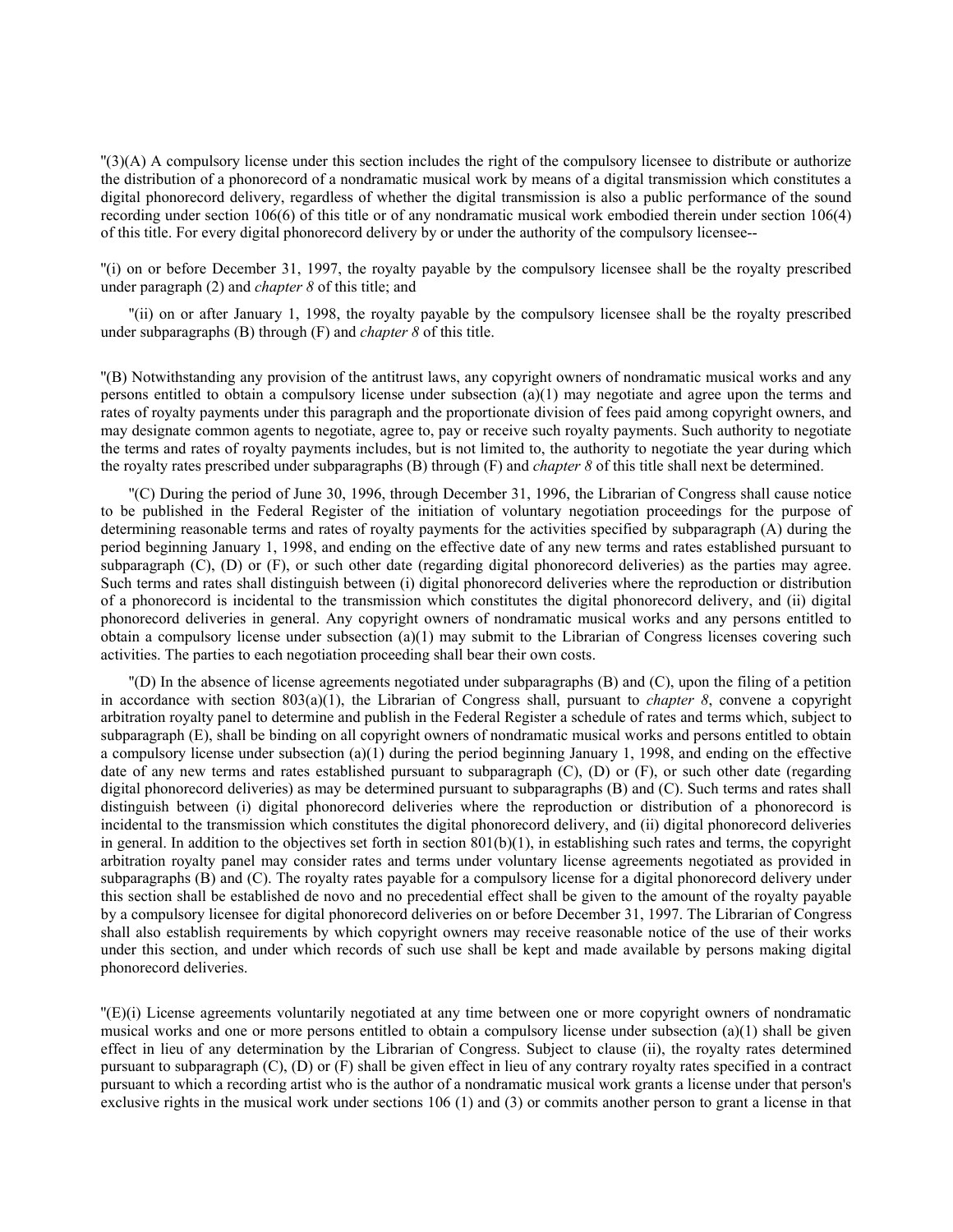''(3)(A) A compulsory license under this section includes the right of the compulsory licensee to distribute or authorize the distribution of a phonorecord of a nondramatic musical work by means of a digital transmission which constitutes a digital phonorecord delivery, regardless of whether the digital transmission is also a public performance of the sound recording under section 106(6) of this title or of any nondramatic musical work embodied therein under section 106(4) of this title. For every digital phonorecord delivery by or under the authority of the compulsory licensee--

''(i) on or before December 31, 1997, the royalty payable by the compulsory licensee shall be the royalty prescribed under paragraph (2) and *chapter 8* of this title; and

''(ii) on or after January 1, 1998, the royalty payable by the compulsory licensee shall be the royalty prescribed under subparagraphs (B) through (F) and *chapter 8* of this title.

''(B) Notwithstanding any provision of the antitrust laws, any copyright owners of nondramatic musical works and any persons entitled to obtain a compulsory license under subsection (a)(1) may negotiate and agree upon the terms and rates of royalty payments under this paragraph and the proportionate division of fees paid among copyright owners, and may designate common agents to negotiate, agree to, pay or receive such royalty payments. Such authority to negotiate the terms and rates of royalty payments includes, but is not limited to, the authority to negotiate the year during which the royalty rates prescribed under subparagraphs (B) through (F) and *chapter 8* of this title shall next be determined.

''(C) During the period of June 30, 1996, through December 31, 1996, the Librarian of Congress shall cause notice to be published in the Federal Register of the initiation of voluntary negotiation proceedings for the purpose of determining reasonable terms and rates of royalty payments for the activities specified by subparagraph (A) during the period beginning January 1, 1998, and ending on the effective date of any new terms and rates established pursuant to subparagraph  $(C)$ ,  $(D)$  or  $(F)$ , or such other date (regarding digital phonorecord deliveries) as the parties may agree. Such terms and rates shall distinguish between (i) digital phonorecord deliveries where the reproduction or distribution of a phonorecord is incidental to the transmission which constitutes the digital phonorecord delivery, and (ii) digital phonorecord deliveries in general. Any copyright owners of nondramatic musical works and any persons entitled to obtain a compulsory license under subsection (a)(1) may submit to the Librarian of Congress licenses covering such activities. The parties to each negotiation proceeding shall bear their own costs.

''(D) In the absence of license agreements negotiated under subparagraphs (B) and (C), upon the filing of a petition in accordance with section  $803(a)(1)$ , the Librarian of Congress shall, pursuant to *chapter 8*, convene a copyright arbitration royalty panel to determine and publish in the Federal Register a schedule of rates and terms which, subject to subparagraph (E), shall be binding on all copyright owners of nondramatic musical works and persons entitled to obtain a compulsory license under subsection (a)(1) during the period beginning January 1, 1998, and ending on the effective date of any new terms and rates established pursuant to subparagraph (C), (D) or (F), or such other date (regarding digital phonorecord deliveries) as may be determined pursuant to subparagraphs (B) and (C). Such terms and rates shall distinguish between (i) digital phonorecord deliveries where the reproduction or distribution of a phonorecord is incidental to the transmission which constitutes the digital phonorecord delivery, and (ii) digital phonorecord deliveries in general. In addition to the objectives set forth in section  $801(b)(1)$ , in establishing such rates and terms, the copyright arbitration royalty panel may consider rates and terms under voluntary license agreements negotiated as provided in subparagraphs (B) and (C). The royalty rates payable for a compulsory license for a digital phonorecord delivery under this section shall be established de novo and no precedential effect shall be given to the amount of the royalty payable by a compulsory licensee for digital phonorecord deliveries on or before December 31, 1997. The Librarian of Congress shall also establish requirements by which copyright owners may receive reasonable notice of the use of their works under this section, and under which records of such use shall be kept and made available by persons making digital phonorecord deliveries.

''(E)(i) License agreements voluntarily negotiated at any time between one or more copyright owners of nondramatic musical works and one or more persons entitled to obtain a compulsory license under subsection (a)(1) shall be given effect in lieu of any determination by the Librarian of Congress. Subject to clause (ii), the royalty rates determined pursuant to subparagraph (C), (D) or (F) shall be given effect in lieu of any contrary royalty rates specified in a contract pursuant to which a recording artist who is the author of a nondramatic musical work grants a license under that person's exclusive rights in the musical work under sections 106 (1) and (3) or commits another person to grant a license in that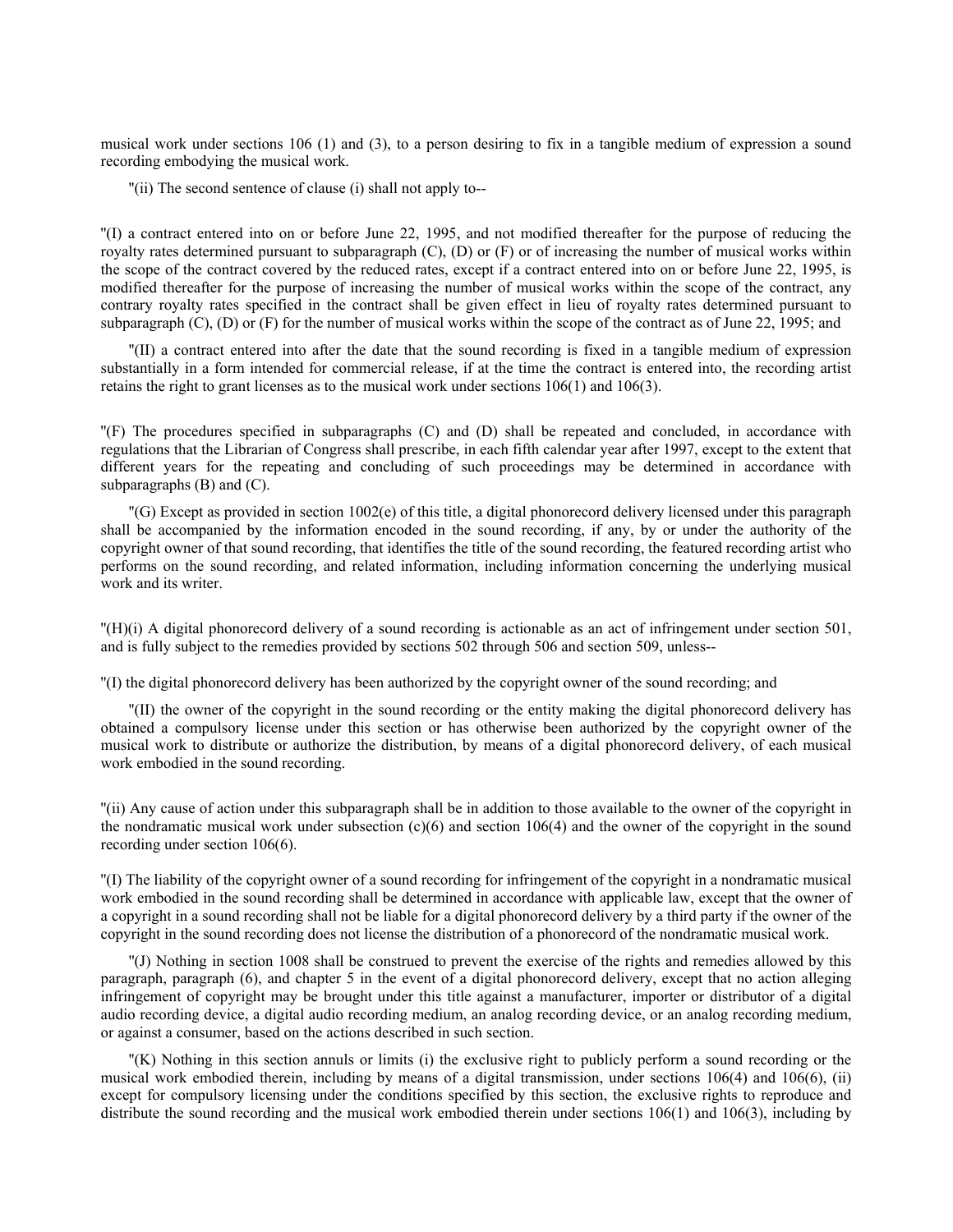musical work under sections 106 (1) and (3), to a person desiring to fix in a tangible medium of expression a sound recording embodying the musical work.

''(ii) The second sentence of clause (i) shall not apply to--

''(I) a contract entered into on or before June 22, 1995, and not modified thereafter for the purpose of reducing the royalty rates determined pursuant to subparagraph  $(C)$ ,  $(D)$  or  $(F)$  or of increasing the number of musical works within the scope of the contract covered by the reduced rates, except if a contract entered into on or before June 22, 1995, is modified thereafter for the purpose of increasing the number of musical works within the scope of the contract, any contrary royalty rates specified in the contract shall be given effect in lieu of royalty rates determined pursuant to subparagraph  $(C)$ ,  $(D)$  or  $(F)$  for the number of musical works within the scope of the contract as of June 22, 1995; and

''(II) a contract entered into after the date that the sound recording is fixed in a tangible medium of expression substantially in a form intended for commercial release, if at the time the contract is entered into, the recording artist retains the right to grant licenses as to the musical work under sections 106(1) and 106(3).

''(F) The procedures specified in subparagraphs (C) and (D) shall be repeated and concluded, in accordance with regulations that the Librarian of Congress shall prescribe, in each fifth calendar year after 1997, except to the extent that different years for the repeating and concluding of such proceedings may be determined in accordance with subparagraphs (B) and (C).

''(G) Except as provided in section 1002(e) of this title, a digital phonorecord delivery licensed under this paragraph shall be accompanied by the information encoded in the sound recording, if any, by or under the authority of the copyright owner of that sound recording, that identifies the title of the sound recording, the featured recording artist who performs on the sound recording, and related information, including information concerning the underlying musical work and its writer.

''(H)(i) A digital phonorecord delivery of a sound recording is actionable as an act of infringement under section 501, and is fully subject to the remedies provided by sections 502 through 506 and section 509, unless--

''(I) the digital phonorecord delivery has been authorized by the copyright owner of the sound recording; and

''(II) the owner of the copyright in the sound recording or the entity making the digital phonorecord delivery has obtained a compulsory license under this section or has otherwise been authorized by the copyright owner of the musical work to distribute or authorize the distribution, by means of a digital phonorecord delivery, of each musical work embodied in the sound recording.

''(ii) Any cause of action under this subparagraph shall be in addition to those available to the owner of the copyright in the nondramatic musical work under subsection  $(c)(6)$  and section 106(4) and the owner of the copyright in the sound recording under section 106(6).

''(I) The liability of the copyright owner of a sound recording for infringement of the copyright in a nondramatic musical work embodied in the sound recording shall be determined in accordance with applicable law, except that the owner of a copyright in a sound recording shall not be liable for a digital phonorecord delivery by a third party if the owner of the copyright in the sound recording does not license the distribution of a phonorecord of the nondramatic musical work.

''(J) Nothing in section 1008 shall be construed to prevent the exercise of the rights and remedies allowed by this paragraph, paragraph (6), and chapter 5 in the event of a digital phonorecord delivery, except that no action alleging infringement of copyright may be brought under this title against a manufacturer, importer or distributor of a digital audio recording device, a digital audio recording medium, an analog recording device, or an analog recording medium, or against a consumer, based on the actions described in such section.

''(K) Nothing in this section annuls or limits (i) the exclusive right to publicly perform a sound recording or the musical work embodied therein, including by means of a digital transmission, under sections 106(4) and 106(6), (ii) except for compulsory licensing under the conditions specified by this section, the exclusive rights to reproduce and distribute the sound recording and the musical work embodied therein under sections 106(1) and 106(3), including by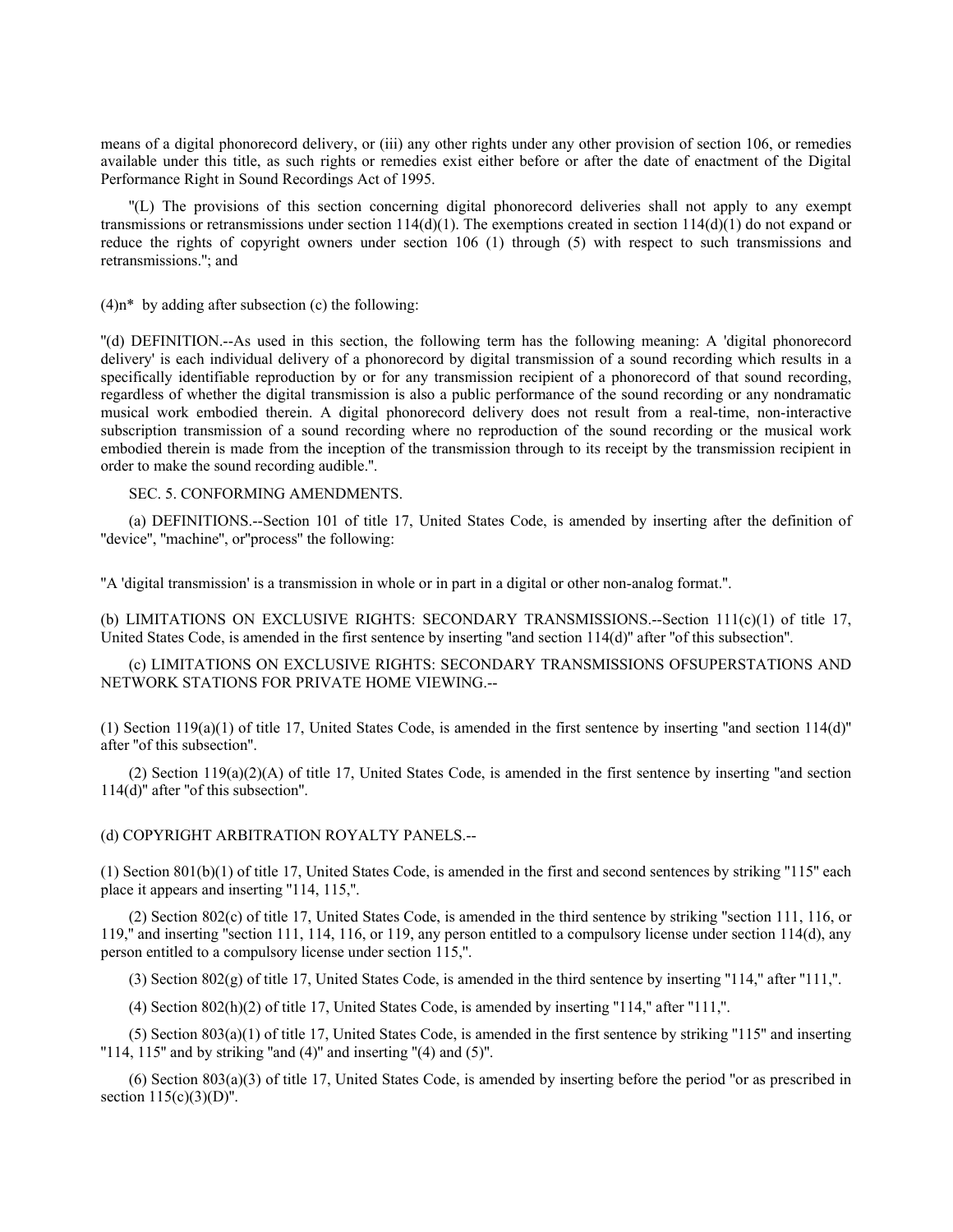means of a digital phonorecord delivery, or (iii) any other rights under any other provision of section 106, or remedies available under this title, as such rights or remedies exist either before or after the date of enactment of the Digital Performance Right in Sound Recordings Act of 1995.

''(L) The provisions of this section concerning digital phonorecord deliveries shall not apply to any exempt transmissions or retransmissions under section  $114(d)(1)$ . The exemptions created in section  $114(d)(1)$  do not expand or reduce the rights of copyright owners under section 106 (1) through (5) with respect to such transmissions and retransmissions.''; and

 $(4)$ n\* by adding after subsection (c) the following:

''(d) DEFINITION.--As used in this section, the following term has the following meaning: A 'digital phonorecord delivery' is each individual delivery of a phonorecord by digital transmission of a sound recording which results in a specifically identifiable reproduction by or for any transmission recipient of a phonorecord of that sound recording, regardless of whether the digital transmission is also a public performance of the sound recording or any nondramatic musical work embodied therein. A digital phonorecord delivery does not result from a real-time, non-interactive subscription transmission of a sound recording where no reproduction of the sound recording or the musical work embodied therein is made from the inception of the transmission through to its receipt by the transmission recipient in order to make the sound recording audible.''.

SEC. 5. CONFORMING AMENDMENTS.

(a) DEFINITIONS.--Section 101 of title 17, United States Code, is amended by inserting after the definition of "device", "machine", or"process" the following:

''A 'digital transmission' is a transmission in whole or in part in a digital or other non-analog format.''.

(b) LIMITATIONS ON EXCLUSIVE RIGHTS: SECONDARY TRANSMISSIONS.--Section 111(c)(1) of title 17, United States Code, is amended in the first sentence by inserting "and section 114(d)" after "of this subsection".

(c) LIMITATIONS ON EXCLUSIVE RIGHTS: SECONDARY TRANSMISSIONS OFSUPERSTATIONS AND NETWORK STATIONS FOR PRIVATE HOME VIEWING.--

(1) Section  $119(a)(1)$  of title 17, United States Code, is amended in the first sentence by inserting "and section  $114(d)$ " after ''of this subsection''.

(2) Section  $119(a)(2)(A)$  of title 17, United States Code, is amended in the first sentence by inserting "and section 114(d)'' after ''of this subsection''.

(d) COPYRIGHT ARBITRATION ROYALTY PANELS.--

(1) Section 801(b)(1) of title 17, United States Code, is amended in the first and second sentences by striking ''115'' each place it appears and inserting ''114, 115,''.

(2) Section 802(c) of title 17, United States Code, is amended in the third sentence by striking ''section 111, 116, or 119,'' and inserting ''section 111, 114, 116, or 119, any person entitled to a compulsory license under section 114(d), any person entitled to a compulsory license under section 115,''.

(3) Section  $802(g)$  of title 17, United States Code, is amended in the third sentence by inserting "114," after "111,".

 $(4)$  Section 802(h)(2) of title 17, United States Code, is amended by inserting "114," after "111,".

(5) Section 803(a)(1) of title 17, United States Code, is amended in the first sentence by striking ''115'' and inserting " $114$ ,  $115$ " and by striking "and  $(4)$ " and inserting " $(4)$  and  $(5)$ ".

 $(6)$  Section 803(a)(3) of title 17, United States Code, is amended by inserting before the period "or as prescribed in section  $115(c)(3)(D)$ ".